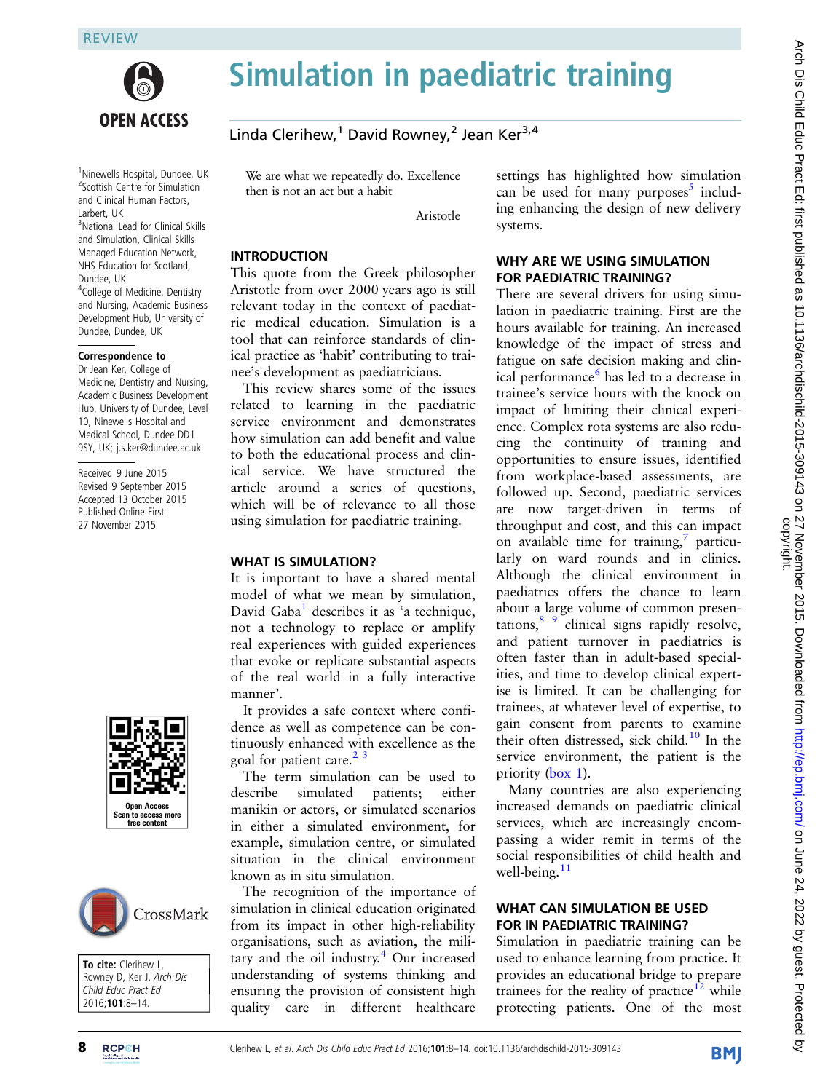

<sup>1</sup>Ninewells Hospital, Dundee, UK <sup>2</sup>Scottish Centre for Simulation and Clinical Human Factors, Larbert, UK <sup>3</sup>National Lead for Clinical Skills and Simulation, Clinical Skills Managed Education Network, NHS Education for Scotland, Dundee, UK 4 College of Medicine, Dentistry and Nursing, Academic Business Development Hub, University of Dundee, Dundee, UK

#### Correspondence to

Dr Jean Ker, College of Medicine, Dentistry and Nursing, Academic Business Development Hub, University of Dundee, Level 10, Ninewells Hospital and Medical School, Dundee DD1 9SY, UK; j.s.ker@dundee.ac.uk

Received 9 June 2015 Revised 9 September 2015 Accepted 13 October 2015 Published Online First 27 November 2015





To cite: Clerihew L, Rowney D, Ker J. Arch Dis Child Educ Pract Ed 2016;101:8–14.

# Simulation in paediatric training

# Linda Clerihew, $1$  David Rowney, $2$  Jean Ker<sup>3,4</sup>

We are what we repeatedly do. Excellence then is not an act but a habit

Aristotle

# INTRODUCTION

This quote from the Greek philosopher Aristotle from over 2000 years ago is still relevant today in the context of paediatric medical education. Simulation is a tool that can reinforce standards of clinical practice as 'habit' contributing to trainee's development as paediatricians.

This review shares some of the issues related to learning in the paediatric service environment and demonstrates how simulation can add benefit and value to both the educational process and clinical service. We have structured the article around a series of questions, which will be of relevance to all those using simulation for paediatric training.

# WHAT IS SIMULATION?

It is important to have a shared mental model of what we mean by simulation, David Gaba $<sup>1</sup>$  $<sup>1</sup>$  $<sup>1</sup>$  describes it as 'a technique,</sup> not a technology to replace or amplify real experiences with guided experiences that evoke or replicate substantial aspects of the real world in a fully interactive manner'.

It provides a safe context where confidence as well as competence can be continuously enhanced with excellence as the goal for patient care. $2<sup>3</sup>$ 

The term simulation can be used to describe simulated patients; either manikin or actors, or simulated scenarios in either a simulated environment, for example, simulation centre, or simulated situation in the clinical environment known as in situ simulation.

The recognition of the importance of simulation in clinical education originated from its impact in other high-reliability organisations, such as aviation, the military and the oil industry. $4$  Our increased understanding of systems thinking and ensuring the provision of consistent high quality care in different healthcare

settings has highlighted how simulation can be used for many purposes<sup>3</sup> including enhancing the design of new delivery systems.

# WHY ARE WE USING SIMULATION FOR PAEDIATRIC TRAINING?

There are several drivers for using simulation in paediatric training. First are the hours available for training. An increased knowledge of the impact of stress and fatigue on safe decision making and clin-ical performance<sup>[6](#page-5-0)</sup> has led to a decrease in trainee's service hours with the knock on impact of limiting their clinical experience. Complex rota systems are also reducing the continuity of training and opportunities to ensure issues, identified from workplace-based assessments, are followed up. Second, paediatric services are now target-driven in terms of throughput and cost, and this can impact on available time for training, $\sqrt{2}$  particularly on ward rounds and in clinics. Although the clinical environment in paediatrics offers the chance to learn about a large volume of common presentations, $8 \frac{9}{9}$  clinical signs rapidly resolve, and patient turnover in paediatrics is often faster than in adult-based specialities, and time to develop clinical expertise is limited. It can be challenging for trainees, at whatever level of expertise, to gain consent from parents to examine their often distressed, sick child. $10$  In the service environment, the patient is the priority [\(box 1\)](#page-1-0).

Many countries are also experiencing increased demands on paediatric clinical services, which are increasingly encompassing a wider remit in terms of the social responsibilities of child health and well-being. $11$ 

# WHAT CAN SIMULATION BE USED FOR IN PAEDIATRIC TRAINING?

Simulation in paediatric training can be used to enhance learning from practice. It provides an educational bridge to prepare trainees for the reality of practice $12$  while protecting patients. One of the most

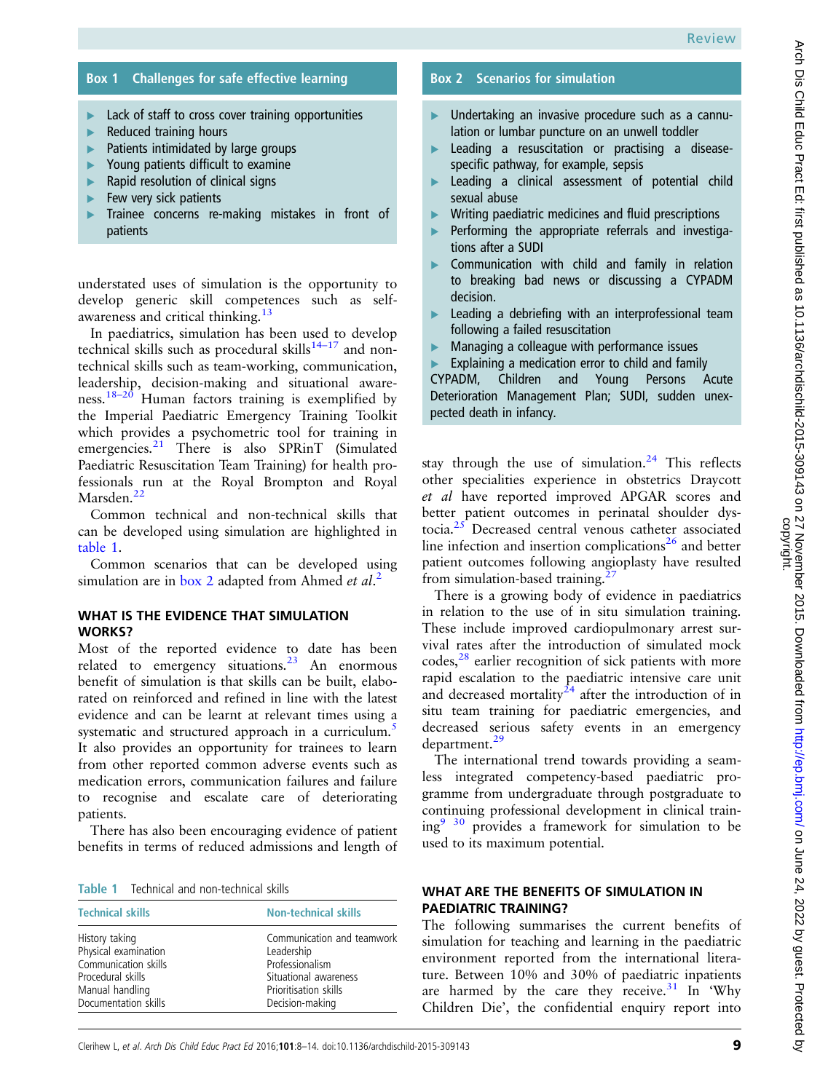# <span id="page-1-0"></span>Box 1 Challenges for safe effective learning

- ▸ Lack of staff to cross cover training opportunities
- Reduced training hours
- ▸ Patients intimidated by large groups
- Young patients difficult to examine
- ▸ Rapid resolution of clinical signs
- $\blacktriangleright$  Few very sick patients
- Trainee concerns re-making mistakes in front of patients

understated uses of simulation is the opportunity to develop generic skill competences such as self-awareness and critical thinking.<sup>[13](#page-5-0)</sup>

In paediatrics, simulation has been used to develop technical skills such as procedural skills<sup>[14](#page-5-0)–17</sup> and nontechnical skills such as team-working, communication, leadership, decision-making and situational aware-ness.<sup>18–[20](#page-5-0)</sup> Human factors training is exemplified by the Imperial Paediatric Emergency Training Toolkit which provides a psychometric tool for training in emergencies.[21](#page-6-0) There is also SPRinT (Simulated Paediatric Resuscitation Team Training) for health professionals run at the Royal Brompton and Royal Marsden.<sup>[22](#page-6-0)</sup>

Common technical and non-technical skills that can be developed using simulation are highlighted in table 1.

Common scenarios that can be developed using simulation are in box [2](#page-5-0) adapted from Ahmed et al.<sup>2</sup>

# WHAT IS THE EVIDENCE THAT SIMULATION WORKS?

Most of the reported evidence to date has been related to emergency situations.<sup>[23](#page-6-0)</sup> An enormous benefit of simulation is that skills can be built, elaborated on reinforced and refined in line with the latest evidence and can be learnt at relevant times using a systematic and structured approach in a curriculum.<sup>[5](#page-5-0)</sup> It also provides an opportunity for trainees to learn from other reported common adverse events such as medication errors, communication failures and failure to recognise and escalate care of deteriorating patients.

There has also been encouraging evidence of patient benefits in terms of reduced admissions and length of

Table 1 Technical and non-technical skills

| <b>Technical skills</b> | <b>Non-technical skills</b> |
|-------------------------|-----------------------------|
| History taking          | Communication and teamwork  |
| Physical examination    | Leadership                  |
| Communication skills    | Professionalism             |
| Procedural skills       | Situational awareness       |
| Manual handling         | Prioritisation skills       |
| Documentation skills    | Decision-making             |

# Box 2 Scenarios for simulation

- ▸ Undertaking an invasive procedure such as a cannulation or lumbar puncture on an unwell toddler
- ▸ Leading a resuscitation or practising a diseasespecific pathway, for example, sepsis
- ▸ Leading a clinical assessment of potential child sexual abuse
- ▸ Writing paediatric medicines and fluid prescriptions Performing the appropriate referrals and investiga-
- tions after a SUDI
- ▶ Communication with child and family in relation to breaking bad news or discussing a CYPADM decision.
- ▶ Leading a debriefing with an interprofessional team following a failed resuscitation
- $\blacktriangleright$  Managing a colleague with performance issues
- Explaining a medication error to child and family

CYPADM, Children and Young Persons Acute Deterioration Management Plan; SUDI, sudden unexpected death in infancy.

stay through the use of simulation. $24$  This reflects other specialities experience in obstetrics Draycott et al have reported improved APGAR scores and better patient outcomes in perinatal shoulder dystocia.[25](#page-6-0) Decreased central venous catheter associated line infection and insertion complications<sup>[26](#page-6-0)</sup> and better patient outcomes following angioplasty have resulted from simulation-based training.<sup>2</sup>

There is a growing body of evidence in paediatrics in relation to the use of in situ simulation training. These include improved cardiopulmonary arrest survival rates after the introduction of simulated mock  $\csc^{28}$  $\csc^{28}$  $\csc^{28}$  earlier recognition of sick patients with more rapid escalation to the paediatric intensive care unit and decreased mortality<sup>[24](#page-6-0)</sup> after the introduction of in situ team training for paediatric emergencies, and decreased serious safety events in an emergency department.<sup>[29](#page-6-0)</sup>

The international trend towards providing a seamless integrated competency-based paediatric programme from undergraduate through postgraduate to continuing professional development in clinical train- $ing<sup>9</sup>$  $ing<sup>9</sup>$  $ing<sup>9</sup>$ <sup>30</sup> provides a framework for simulation to be used to its maximum potential.

# WHAT ARE THE BENEFITS OF SIMULATION IN PAEDIATRIC TRAINING?

The following summarises the current benefits of simulation for teaching and learning in the paediatric environment reported from the international literature. Between 10% and 30% of paediatric inpatients are harmed by the care they receive. $31$  In 'Why Children Die', the confidential enquiry report into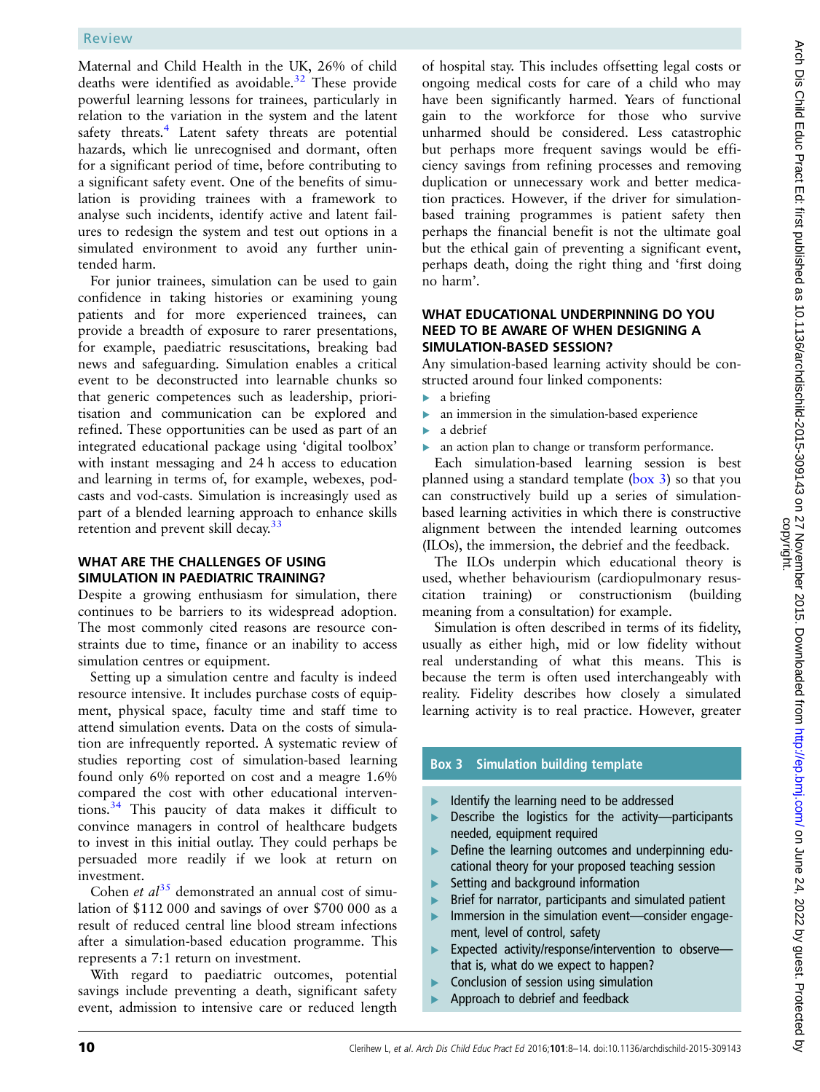Maternal and Child Health in the UK, 26% of child deaths were identified as avoidable. $32$  These provide powerful learning lessons for trainees, particularly in relation to the variation in the system and the latent safety threats.<sup>[4](#page-5-0)</sup> Latent safety threats are potential hazards, which lie unrecognised and dormant, often for a significant period of time, before contributing to a significant safety event. One of the benefits of simulation is providing trainees with a framework to analyse such incidents, identify active and latent failures to redesign the system and test out options in a simulated environment to avoid any further unintended harm.

For junior trainees, simulation can be used to gain confidence in taking histories or examining young patients and for more experienced trainees, can provide a breadth of exposure to rarer presentations, for example, paediatric resuscitations, breaking bad news and safeguarding. Simulation enables a critical event to be deconstructed into learnable chunks so that generic competences such as leadership, prioritisation and communication can be explored and refined. These opportunities can be used as part of an integrated educational package using 'digital toolbox' with instant messaging and 24 h access to education and learning in terms of, for example, webexes, podcasts and vod-casts. Simulation is increasingly used as part of a blended learning approach to enhance skills retention and prevent skill decay.<sup>[33](#page-6-0)</sup>

# WHAT ARE THE CHALLENGES OF USING SIMULATION IN PAEDIATRIC TRAINING?

Despite a growing enthusiasm for simulation, there continues to be barriers to its widespread adoption. The most commonly cited reasons are resource constraints due to time, finance or an inability to access simulation centres or equipment.

Setting up a simulation centre and faculty is indeed resource intensive. It includes purchase costs of equipment, physical space, faculty time and staff time to attend simulation events. Data on the costs of simulation are infrequently reported. A systematic review of studies reporting cost of simulation-based learning found only 6% reported on cost and a meagre 1.6% compared the cost with other educational interventions.[34](#page-6-0) This paucity of data makes it difficult to convince managers in control of healthcare budgets to invest in this initial outlay. They could perhaps be persuaded more readily if we look at return on investment.

Cohen et  $al^{35}$  $al^{35}$  $al^{35}$  demonstrated an annual cost of simulation of \$112 000 and savings of over \$700 000 as a result of reduced central line blood stream infections after a simulation-based education programme. This represents a 7:1 return on investment.

With regard to paediatric outcomes, potential savings include preventing a death, significant safety event, admission to intensive care or reduced length

of hospital stay. This includes offsetting legal costs or ongoing medical costs for care of a child who may have been significantly harmed. Years of functional gain to the workforce for those who survive unharmed should be considered. Less catastrophic but perhaps more frequent savings would be efficiency savings from refining processes and removing duplication or unnecessary work and better medication practices. However, if the driver for simulationbased training programmes is patient safety then perhaps the financial benefit is not the ultimate goal but the ethical gain of preventing a significant event, perhaps death, doing the right thing and 'first doing no harm'.

# WHAT EDUCATIONAL UNDERPINNING DO YOU NEED TO BE AWARE OF WHEN DESIGNING A SIMULATION-BASED SESSION?

Any simulation-based learning activity should be constructed around four linked components:

- $\blacktriangleright$  a briefing
- an immersion in the simulation-based experience
- $\blacktriangleright$  a debrief
- ▸ an action plan to change or transform performance.

Each simulation-based learning session is best planned using a standard template (box 3) so that you can constructively build up a series of simulationbased learning activities in which there is constructive alignment between the intended learning outcomes (ILOs), the immersion, the debrief and the feedback.

The ILOs underpin which educational theory is used, whether behaviourism (cardiopulmonary resuscitation training) or constructionism (building meaning from a consultation) for example.

Simulation is often described in terms of its fidelity, usually as either high, mid or low fidelity without real understanding of what this means. This is because the term is often used interchangeably with reality. Fidelity describes how closely a simulated learning activity is to real practice. However, greater

# Box 3 Simulation building template

- Identify the learning need to be addressed
- Describe the logistics for the activity---participants needed, equipment required
- ▸ Define the learning outcomes and underpinning educational theory for your proposed teaching session
- ▶ Setting and background information
- Brief for narrator, participants and simulated patient
- Immersion in the simulation event—consider engagement, level of control, safety
- ▸ Expected activity/response/intervention to observe that is, what do we expect to happen?
- ▶ Conclusion of session using simulation
- ▸ Approach to debrief and feedback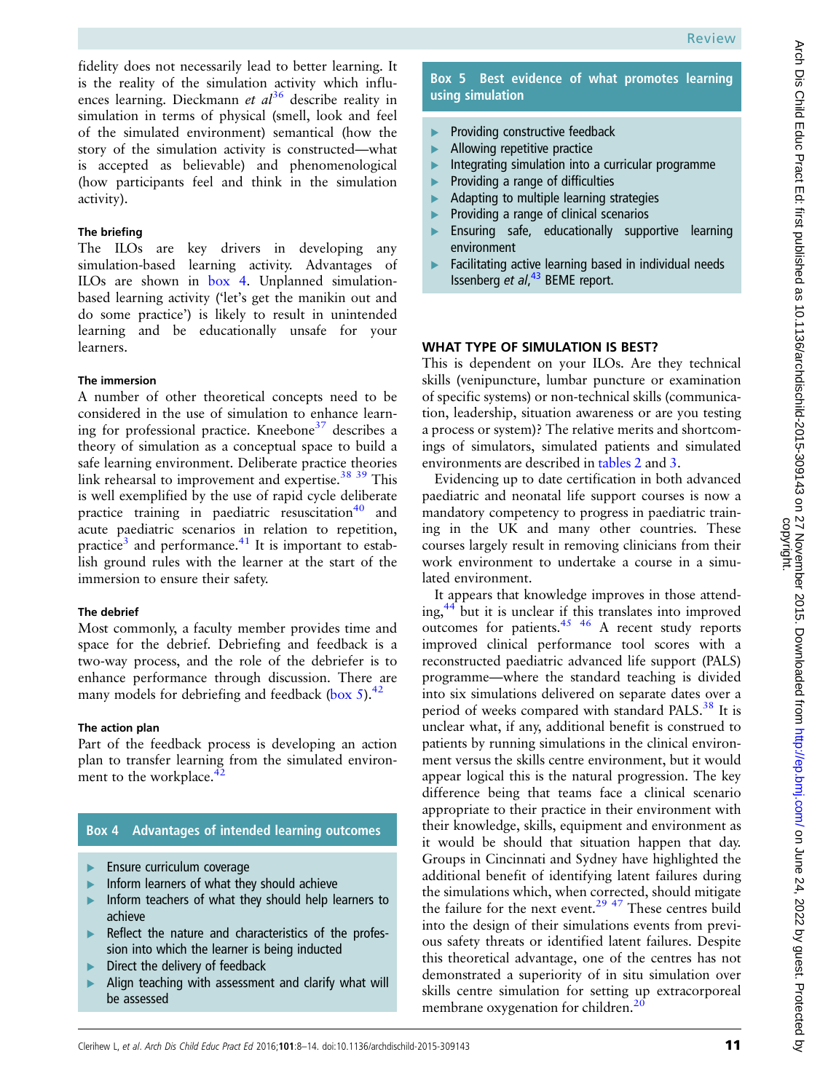fidelity does not necessarily lead to better learning. It is the reality of the simulation activity which influences learning. Dieckmann et  $al^{36}$  $al^{36}$  $al^{36}$  describe reality in simulation in terms of physical (smell, look and feel of the simulated environment) semantical (how the story of the simulation activity is constructed—what is accepted as believable) and phenomenological (how participants feel and think in the simulation activity).

#### The briefing

The ILOs are key drivers in developing any simulation-based learning activity. Advantages of ILOs are shown in box 4. Unplanned simulationbased learning activity ('let's get the manikin out and do some practice') is likely to result in unintended learning and be educationally unsafe for your learners.

#### The immersion

A number of other theoretical concepts need to be considered in the use of simulation to enhance learn-ing for professional practice. Kneebone<sup>[37](#page-6-0)</sup> describes a theory of simulation as a conceptual space to build a safe learning environment. Deliberate practice theories link rehearsal to improvement and expertise.  $38\frac{39}{10}$  This is well exemplified by the use of rapid cycle deliberate practice training in paediatric resuscitation $40^{\circ}$  $40^{\circ}$  and acute paediatric scenarios in relation to repetition, practice<sup>[3](#page-5-0)</sup> and performance.<sup>[41](#page-6-0)</sup> It is important to establish ground rules with the learner at the start of the immersion to ensure their safety.

# The debrief

Most commonly, a faculty member provides time and space for the debrief. Debriefing and feedback is a two-way process, and the role of the debriefer is to enhance performance through discussion. There are many models for debriefing and feedback (box 5).<sup>[42](#page-6-0)</sup>

# The action plan

Part of the feedback process is developing an action plan to transfer learning from the simulated environment to the workplace. $42$ 

# Box 4 Advantages of intended learning outcomes

- Ensure curriculum coverage
- ▸ Inform learners of what they should achieve
- Inform teachers of what they should help learners to achieve
- Reflect the nature and characteristics of the profession into which the learner is being inducted
- Direct the delivery of feedback
- Align teaching with assessment and clarify what will be assessed

# Box 5 Best evidence of what promotes learning using simulation

- ▸ Providing constructive feedback
- ▶ Allowing repetitive practice
- Integrating simulation into a curricular programme
- ▸ Providing a range of difficulties
- ▸ Adapting to multiple learning strategies
- ▸ Providing a range of clinical scenarios
- ▸ Ensuring safe, educationally supportive learning environment
- ▸ Facilitating active learning based in individual needs Issenberg et al,<sup>[43](#page-6-0)</sup> BEME report.

# WHAT TYPE OF SIMULATION IS BEST?

This is dependent on your ILOs. Are they technical skills (venipuncture, lumbar puncture or examination of specific systems) or non-technical skills (communication, leadership, situation awareness or are you testing a process or system)? The relative merits and shortcomings of simulators, simulated patients and simulated environments are described in [tables 2](#page-4-0) and [3](#page-4-0).

Evidencing up to date certification in both advanced paediatric and neonatal life support courses is now a mandatory competency to progress in paediatric training in the UK and many other countries. These courses largely result in removing clinicians from their work environment to undertake a course in a simulated environment.

It appears that knowledge improves in those attending,[44](#page-6-0) but it is unclear if this translates into improved outcomes for patients. $45 \frac{45}{46}$  A recent study reports improved clinical performance tool scores with a reconstructed paediatric advanced life support (PALS) programme—where the standard teaching is divided into six simulations delivered on separate dates over a period of weeks compared with standard PALS.<sup>[38](#page-6-0)</sup> It is unclear what, if any, additional benefit is construed to patients by running simulations in the clinical environment versus the skills centre environment, but it would appear logical this is the natural progression. The key difference being that teams face a clinical scenario appropriate to their practice in their environment with their knowledge, skills, equipment and environment as it would be should that situation happen that day. Groups in Cincinnati and Sydney have highlighted the additional benefit of identifying latent failures during the simulations which, when corrected, should mitigate the failure for the next event.<sup>[29 47](#page-6-0)</sup> These centres build into the design of their simulations events from previous safety threats or identified latent failures. Despite this theoretical advantage, one of the centres has not demonstrated a superiority of in situ simulation over skills centre simulation for setting up extracorporeal membrane oxygenation for children.<sup>[20](#page-6-0)</sup>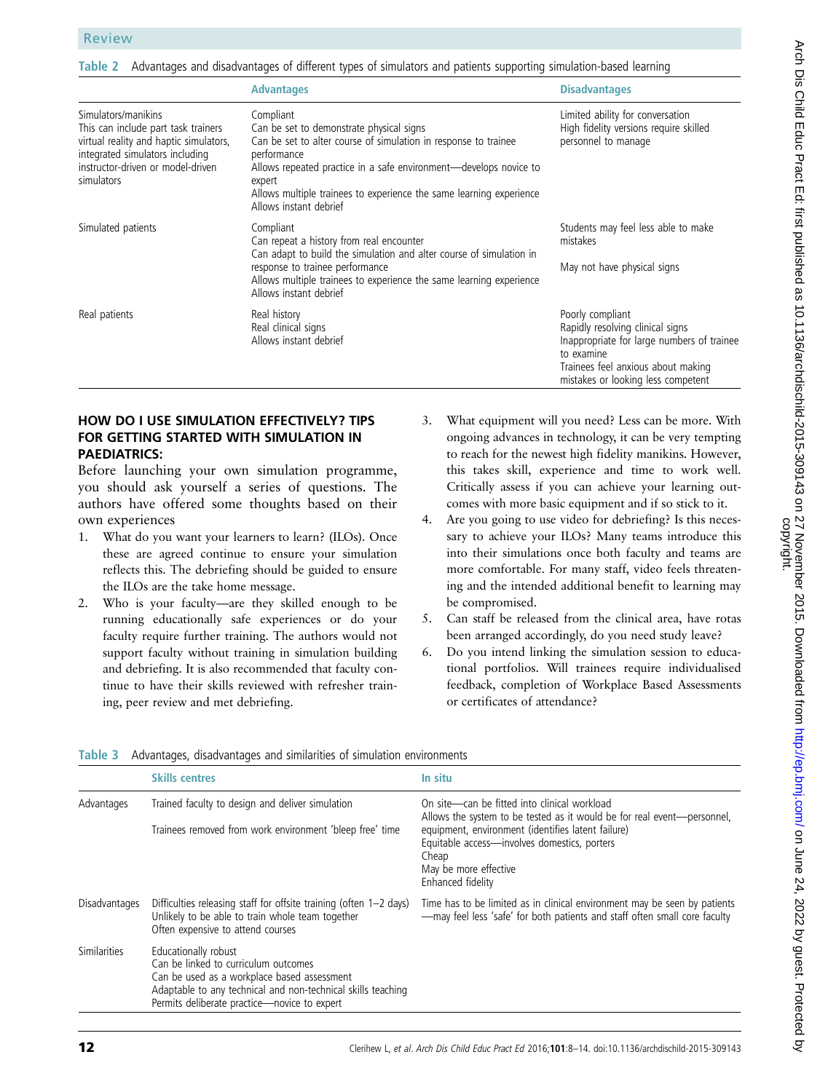<span id="page-4-0"></span>Table 2 Advantages and disadvantages of different types of simulators and patients supporting simulation-based learning

|                                                                                                                                                                                            | <b>Advantages</b>                                                                                                                                                                                                                                                                                                       | <b>Disadvantages</b>                                                                                                                                   |
|--------------------------------------------------------------------------------------------------------------------------------------------------------------------------------------------|-------------------------------------------------------------------------------------------------------------------------------------------------------------------------------------------------------------------------------------------------------------------------------------------------------------------------|--------------------------------------------------------------------------------------------------------------------------------------------------------|
| Simulators/manikins<br>This can include part task trainers<br>virtual reality and haptic simulators,<br>integrated simulators including<br>instructor-driven or model-driven<br>simulators | Compliant<br>Can be set to demonstrate physical signs<br>Can be set to alter course of simulation in response to trainee<br>performance<br>Allows repeated practice in a safe environment—develops novice to<br>expert<br>Allows multiple trainees to experience the same learning experience<br>Allows instant debrief | Limited ability for conversation<br>High fidelity versions require skilled<br>personnel to manage                                                      |
| Simulated patients                                                                                                                                                                         | Compliant<br>Can repeat a history from real encounter<br>Can adapt to build the simulation and alter course of simulation in<br>response to trainee performance<br>Allows multiple trainees to experience the same learning experience<br>Allows instant debrief                                                        | Students may feel less able to make<br>mistakes<br>May not have physical signs                                                                         |
| Real patients                                                                                                                                                                              | Real history<br>Real clinical signs<br>Allows instant debrief                                                                                                                                                                                                                                                           | Poorly compliant<br>Rapidly resolving clinical signs<br>Inappropriate for large numbers of trainee<br>to examine<br>Trainees feel anxious about making |

# HOW DO I USE SIMULATION EFFECTIVELY? TIPS FOR GETTING STARTED WITH SIMULATION IN PAEDIATRICS:

Before launching your own simulation programme, you should ask yourself a series of questions. The authors have offered some thoughts based on their own experiences

- 1. What do you want your learners to learn? (ILOs). Once these are agreed continue to ensure your simulation reflects this. The debriefing should be guided to ensure the ILOs are the take home message.
- 2. Who is your faculty—are they skilled enough to be running educationally safe experiences or do your faculty require further training. The authors would not support faculty without training in simulation building and debriefing. It is also recommended that faculty continue to have their skills reviewed with refresher training, peer review and met debriefing.
- 3. What equipment will you need? Less can be more. With ongoing advances in technology, it can be very tempting to reach for the newest high fidelity manikins. However, this takes skill, experience and time to work well. Critically assess if you can achieve your learning outcomes with more basic equipment and if so stick to it.

mistakes or looking less competent

- 4. Are you going to use video for debriefing? Is this necessary to achieve your ILOs? Many teams introduce this into their simulations once both faculty and teams are more comfortable. For many staff, video feels threatening and the intended additional benefit to learning may be compromised.
- 5. Can staff be released from the clinical area, have rotas been arranged accordingly, do you need study leave?
- 6. Do you intend linking the simulation session to educational portfolios. Will trainees require individualised feedback, completion of Workplace Based Assessments or certificates of attendance?

|               | <b>Skills centres</b>                                                                                                                                                                                                       | In situ                                                                                                                                                                                                                                                                              |  |
|---------------|-----------------------------------------------------------------------------------------------------------------------------------------------------------------------------------------------------------------------------|--------------------------------------------------------------------------------------------------------------------------------------------------------------------------------------------------------------------------------------------------------------------------------------|--|
| Advantages    | Trained faculty to design and deliver simulation                                                                                                                                                                            | On site—can be fitted into clinical workload<br>Allows the system to be tested as it would be for real event—personnel,<br>equipment, environment (identifies latent failure)<br>Equitable access-involves domestics, porters<br>Cheap<br>May be more effective<br>Enhanced fidelity |  |
|               | Trainees removed from work environment 'bleep free' time                                                                                                                                                                    |                                                                                                                                                                                                                                                                                      |  |
| Disadvantages | Difficulties releasing staff for offsite training (often 1-2 days)<br>Unlikely to be able to train whole team together<br>Often expensive to attend courses                                                                 | Time has to be limited as in clinical environment may be seen by patients<br>- may feel less 'safe' for both patients and staff often small core faculty                                                                                                                             |  |
| Similarities  | Educationally robust<br>Can be linked to curriculum outcomes<br>Can be used as a workplace based assessment<br>Adaptable to any technical and non-technical skills teaching<br>Permits deliberate practice-novice to expert |                                                                                                                                                                                                                                                                                      |  |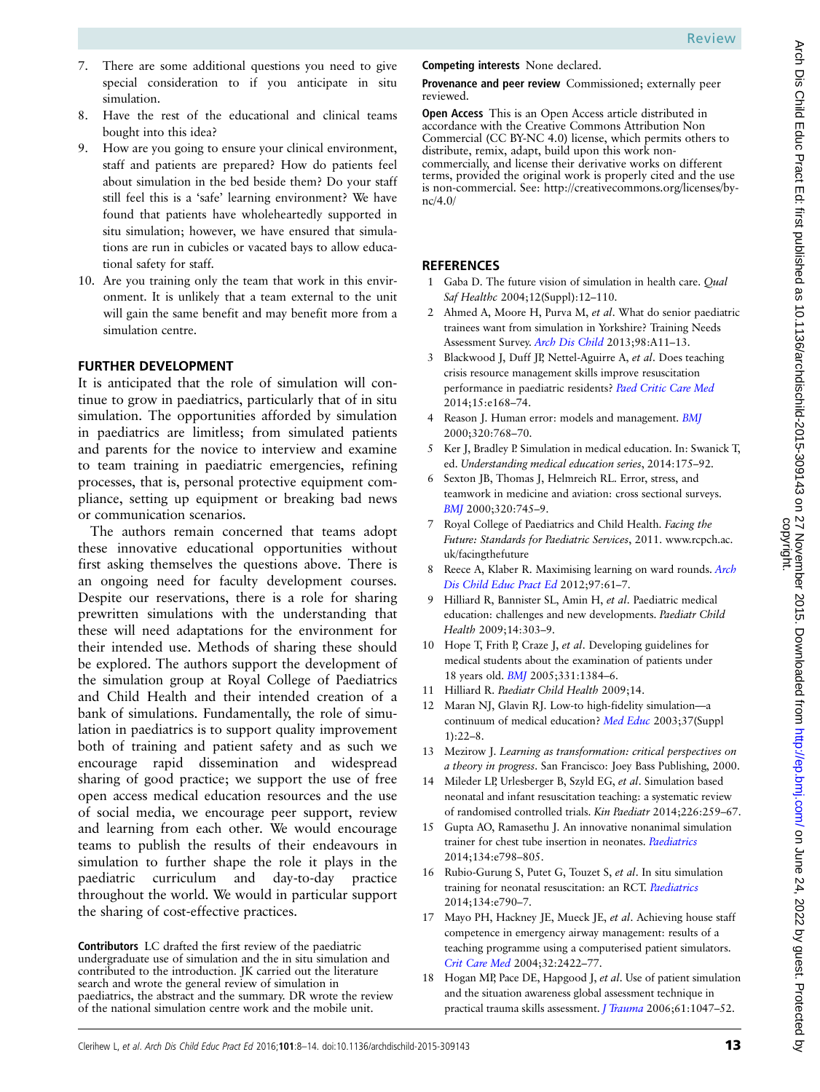- <span id="page-5-0"></span>7. There are some additional questions you need to give special consideration to if you anticipate in situ simulation.
- 8. Have the rest of the educational and clinical teams bought into this idea?
- 9. How are you going to ensure your clinical environment, staff and patients are prepared? How do patients feel about simulation in the bed beside them? Do your staff still feel this is a 'safe' learning environment? We have found that patients have wholeheartedly supported in situ simulation; however, we have ensured that simulations are run in cubicles or vacated bays to allow educational safety for staff.
- 10. Are you training only the team that work in this environment. It is unlikely that a team external to the unit will gain the same benefit and may benefit more from a simulation centre.

# FURTHER DEVELOPMENT

It is anticipated that the role of simulation will continue to grow in paediatrics, particularly that of in situ simulation. The opportunities afforded by simulation in paediatrics are limitless; from simulated patients and parents for the novice to interview and examine to team training in paediatric emergencies, refining processes, that is, personal protective equipment compliance, setting up equipment or breaking bad news or communication scenarios.

The authors remain concerned that teams adopt these innovative educational opportunities without first asking themselves the questions above. There is an ongoing need for faculty development courses. Despite our reservations, there is a role for sharing prewritten simulations with the understanding that these will need adaptations for the environment for their intended use. Methods of sharing these should be explored. The authors support the development of the simulation group at Royal College of Paediatrics and Child Health and their intended creation of a bank of simulations. Fundamentally, the role of simulation in paediatrics is to support quality improvement both of training and patient safety and as such we encourage rapid dissemination and widespread sharing of good practice; we support the use of free open access medical education resources and the use of social media, we encourage peer support, review and learning from each other. We would encourage teams to publish the results of their endeavours in simulation to further shape the role it plays in the paediatric curriculum and day-to-day practice throughout the world. We would in particular support the sharing of cost-effective practices.

Contributors LC drafted the first review of the paediatric undergraduate use of simulation and the in situ simulation and contributed to the introduction. JK carried out the literature search and wrote the general review of simulation in paediatrics, the abstract and the summary. DR wrote the review of the national simulation centre work and the mobile unit.

#### Competing interests None declared.

#### Provenance and peer review Commissioned; externally peer reviewed.

Open Access This is an Open Access article distributed in accordance with the Creative Commons Attribution Non Commercial (CC BY-NC 4.0) license, which permits others to distribute, remix, adapt, build upon this work noncommercially, and license their derivative works on different terms, provided the original work is properly cited and the use is non-commercial. See: [http://creativecommons.org/licenses/by](http://creativecommons.org/licenses/by-nc/4.0/)[nc/4.0/](http://creativecommons.org/licenses/by-nc/4.0/)

# **REFERENCES**

- 1 Gaba D. The future vision of simulation in health care. Qual Saf Healthc 2004;12(Suppl):12–110.
- 2 Ahmed A, Moore H, Purva M, et al. What do senior paediatric trainees want from simulation in Yorkshire? Training Needs Assessment Survey. [Arch Dis Child](http://dx.doi.org/10.1136/archdischild-2013-304107.027) 2013;98:A11–13.
- 3 Blackwood J, Duff JP, Nettel-Aguirre A, et al. Does teaching crisis resource management skills improve resuscitation performance in paediatric residents? [Paed Critic Care Med](http://dx.doi.org/10.1097/PCC.0000000000000100) 2014;15:e168–74.
- 4 Reason J. Human error: models and management. **[BMJ](http://dx.doi.org/10.1136/bmj.320.7237.768)** 2000;320:768–70.
- 5 Ker J, Bradley P. Simulation in medical education. In: Swanick T, ed. Understanding medical education series, 2014:175–92.
- 6 Sexton JB, Thomas J, Helmreich RL. Error, stress, and teamwork in medicine and aviation: cross sectional surveys. [BMJ](http://dx.doi.org/10.1136/bmj.320.7237.745) 2000;320:745–9.
- 7 Royal College of Paediatrics and Child Health. Facing the Future: Standards for Paediatric Services, 2011. [www.rcpch.ac.](http://www.rcpch.ac.uk/facingthefuture) [uk/facingthefuture](http://www.rcpch.ac.uk/facingthefuture)
- 8 Reece A, Klaber R. Maximising learning on ward rounds. [Arch](http://dx.doi.org/10.1136/edpract-2011-301593) [Dis Child Educ Pract Ed](http://dx.doi.org/10.1136/edpract-2011-301593) 2012;97:61–7.
- 9 Hilliard R, Bannister SL, Amin H, et al. Paediatric medical education: challenges and new developments. Paediatr Child Health 2009;14:303–9.
- 10 Hope T, Frith P, Craze J, et al. Developing guidelines for medical students about the examination of patients under 18 years old. [BMJ](http://dx.doi.org/10.1136/bmj.331.7529.1384) 2005;331:1384–6.
- 11 Hilliard R. Paediatr Child Health 2009;14.
- 12 Maran NJ, Glavin RJ. Low-to high-fidelity simulation—a continuum of medical education? [Med Educ](http://dx.doi.org/10.1046/j.1365-2923.37.s1.9.x) 2003;37(Suppl 1):22–8.
- 13 Mezirow J. Learning as transformation: critical perspectives on a theory in progress. San Francisco: Joey Bass Publishing, 2000.
- 14 Mileder LP, Urlesberger B, Szyld EG, et al. Simulation based neonatal and infant resuscitation teaching: a systematic review of randomised controlled trials. Kin Paediatr 2014;226:259–67.
- 15 Gupta AO, Ramasethu J. An innovative nonanimal simulation trainer for chest tube insertion in neonates. [Paediatrics](http://dx.doi.org/10.1542/peds.2014-0753) 2014;134:e798–805.
- 16 Rubio-Gurung S, Putet G, Touzet S, et al. In situ simulation training for neonatal resuscitation: an RCT. [Paediatrics](http://dx.doi.org/10.1542/peds.2013-3988) 2014;134:e790–7.
- 17 Mayo PH, Hackney JE, Mueck JE, et al. Achieving house staff competence in emergency airway management: results of a teaching programme using a computerised patient simulators. [Crit Care Med](http://dx.doi.org/10.1097/01.CCM.0000147768.42813.A2) 2004;32:2422–77.
- 18 Hogan MP, Pace DE, Hapgood J, et al. Use of patient simulation and the situation awareness global assessment technique in practical trauma skills assessment. *[J Trauma](http://dx.doi.org/10.1097/01.ta.0000238687.23622.89)* 2006;61:1047-52.